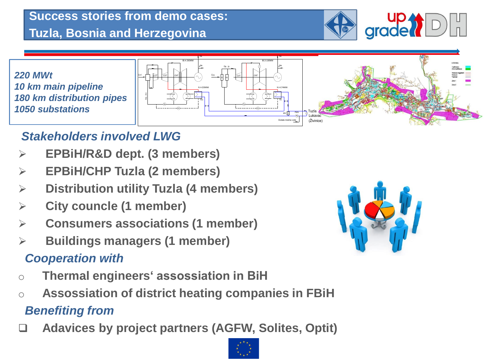## **Success stories from demo cases: Tuzla, Bosnia and Herzegovina**



*220 MWt 10 km main pipeline 180 km distribution pipes 1050 substations*



# *Stakeholders involved LWG*

- ➢ **EPBiH/R&D dept. (3 members)**
- ➢ **EPBiH/CHP Tuzla (2 members)**
- ➢ **Distribution utility Tuzla (4 members)**
- ➢ **City councle (1 member)**
- ➢ **Consumers associations (1 member)**
- ➢ **Buildings managers (1 member)**

# *Cooperation with*

- o **Thermal engineers' assossiation in BiH**
- o **Assossiation of district heating companies in FBiH** *Benefiting from*
- 



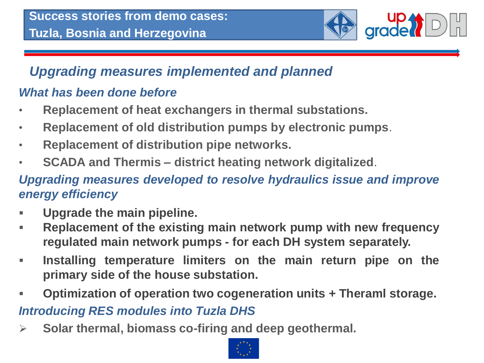

## *Upgrading measures implemented and planned*

#### *What has been done before*

- **Replacement of heat exchangers in thermal substations.**
- **Replacement of old distribution pumps by electronic pumps**.
- **Replacement of distribution pipe networks.**
- **SCADA and Thermis – district heating network digitalized**.

#### *Upgrading measures developed to resolve hydraulics issue and improve energy efficiency*

- **Upgrade the main pipeline.**
- **Replacement of the existing main network pump with new frequency regulated main network pumps - for each DH system separately.**
- **Installing temperature limiters on the main return pipe on the primary side of the house substation.**
- **Optimization of operation two cogeneration units + Theraml storage.**

## *Introducing RES modules into Tuzla DHS*

➢ **Solar thermal, biomass co-firing and deep geothermal.**